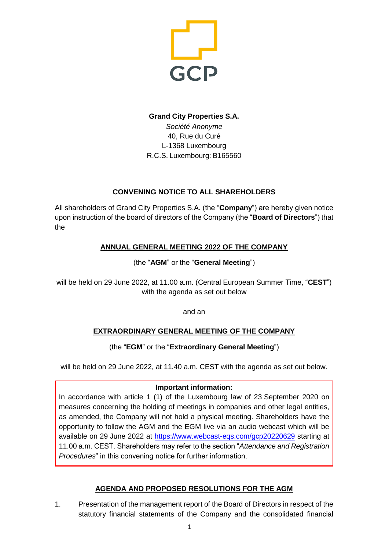

# **Grand City Properties S.A.** *Société Anonyme* 40, Rue du Curé L-1368 Luxembourg R.C.S. Luxembourg: B165560

## **CONVENING NOTICE TO ALL SHAREHOLDERS**

All shareholders of Grand City Properties S.A. (the "**Company**") are hereby given notice upon instruction of the board of directors of the Company (the "**Board of Directors**") that the

## **ANNUAL GENERAL MEETING 2022 OF THE COMPANY**

### (the "**AGM**" or the "**General Meeting**")

will be held on 29 June 2022, at 11.00 a.m. (Central European Summer Time, "**CEST**") with the agenda as set out below

and an

# **EXTRAORDINARY GENERAL MEETING OF THE COMPANY**

### (the "**EGM**" or the "**Extraordinary General Meeting**")

will be held on 29 June 2022, at 11.40 a.m. CEST with the agenda as set out below.

#### **Important information:**

In accordance with article 1 (1) of the Luxembourg law of 23 September 2020 on measures concerning the holding of meetings in companies and other legal entities, as amended, the Company will not hold a physical meeting. Shareholders have the opportunity to follow the AGM and the EGM live via an audio webcast which will be available on 29 June 2022 at <https://www.webcast-eqs.com/gcp20220629> starting at 11.00 a.m. CEST. Shareholders may refer to the section "*Attendance and Registration Procedures*" in this convening notice for further information.

### **AGENDA AND PROPOSED RESOLUTIONS FOR THE AGM**

1. Presentation of the management report of the Board of Directors in respect of the statutory financial statements of the Company and the consolidated financial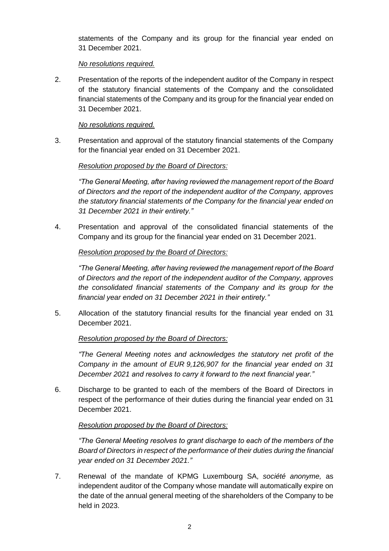statements of the Company and its group for the financial year ended on 31 December 2021.

### *No resolutions required.*

2. Presentation of the reports of the independent auditor of the Company in respect of the statutory financial statements of the Company and the consolidated financial statements of the Company and its group for the financial year ended on 31 December 2021.

### *No resolutions required.*

3. Presentation and approval of the statutory financial statements of the Company for the financial year ended on 31 December 2021.

#### *Resolution proposed by the Board of Directors:*

*"The General Meeting, after having reviewed the management report of the Board of Directors and the report of the independent auditor of the Company, approves the statutory financial statements of the Company for the financial year ended on 31 December 2021 in their entirety."*

4. Presentation and approval of the consolidated financial statements of the Company and its group for the financial year ended on 31 December 2021.

#### *Resolution proposed by the Board of Directors:*

*"The General Meeting, after having reviewed the management report of the Board of Directors and the report of the independent auditor of the Company, approves the consolidated financial statements of the Company and its group for the financial year ended on 31 December 2021 in their entirety."*

5. Allocation of the statutory financial results for the financial year ended on 31 December 2021.

#### *Resolution proposed by the Board of Directors:*

*"The General Meeting notes and acknowledges the statutory net profit of the Company in the amount of EUR 9,126,907 for the financial year ended on 31 December 2021 and resolves to carry it forward to the next financial year."*

6. Discharge to be granted to each of the members of the Board of Directors in respect of the performance of their duties during the financial year ended on 31 December 2021.

#### *Resolution proposed by the Board of Directors:*

*"The General Meeting resolves to grant discharge to each of the members of the Board of Directors in respect of the performance of their duties during the financial year ended on 31 December 2021."*

7. Renewal of the mandate of KPMG Luxembourg SA, *société anonyme,* as independent auditor of the Company whose mandate will automatically expire on the date of the annual general meeting of the shareholders of the Company to be held in 2023.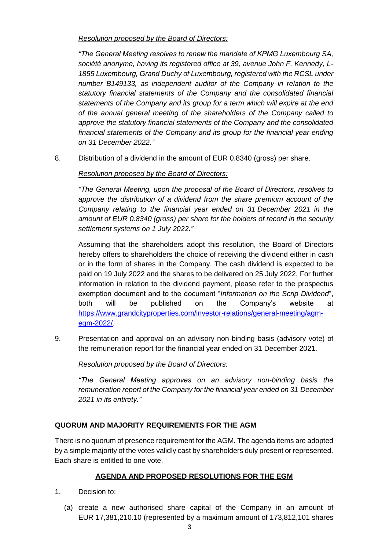### *Resolution proposed by the Board of Directors:*

*"The General Meeting resolves to renew the mandate of KPMG Luxembourg SA, société anonyme, having its registered office at 39, avenue John F. Kennedy, L-1855 Luxembourg, Grand Duchy of Luxembourg, registered with the RCSL under number B149133, as independent auditor of the Company in relation to the statutory financial statements of the Company and the consolidated financial statements of the Company and its group for a term which will expire at the end of the annual general meeting of the shareholders of the Company called to approve the statutory financial statements of the Company and the consolidated financial statements of the Company and its group for the financial year ending on 31 December 2022*.*"*

8. Distribution of a dividend in the amount of EUR 0.8340 (gross) per share.

## *Resolution proposed by the Board of Directors:*

*"The General Meeting, upon the proposal of the Board of Directors, resolves to approve the distribution of a dividend from the share premium account of the Company relating to the financial year ended on 31 December 2021 in the amount of EUR 0.8340 (gross) per share for the holders of record in the security settlement systems on 1 July 2022."*

Assuming that the shareholders adopt this resolution, the Board of Directors hereby offers to shareholders the choice of receiving the dividend either in cash or in the form of shares in the Company. The cash dividend is expected to be paid on 19 July 2022 and the shares to be delivered on 25 July 2022. For further information in relation to the dividend payment, please refer to the prospectus exemption document and to the document "*Information on the Scrip Dividend*", both will be published on the Company's website at [https://www.grandcityproperties.com/investor-relations/general-meeting/agm](https://www.grandcityproperties.com/investor-relations/general-meeting/agm-egm-2022/)[egm-2022/.](https://www.grandcityproperties.com/investor-relations/general-meeting/agm-egm-2022/)

9. Presentation and approval on an advisory non-binding basis (advisory vote) of the remuneration report for the financial year ended on 31 December 2021.

### *Resolution proposed by the Board of Directors:*

*"The General Meeting approves on an advisory non-binding basis the remuneration report of the Company for the financial year ended on 31 December 2021 in its entirety."*

# **QUORUM AND MAJORITY REQUIREMENTS FOR THE AGM**

There is no quorum of presence requirement for the AGM. The agenda items are adopted by a simple majority of the votes validly cast by shareholders duly present or represented. Each share is entitled to one vote.

# **AGENDA AND PROPOSED RESOLUTIONS FOR THE EGM**

- 1. Decision to:
	- (a) create a new authorised share capital of the Company in an amount of EUR 17,381,210.10 (represented by a maximum amount of 173,812,101 shares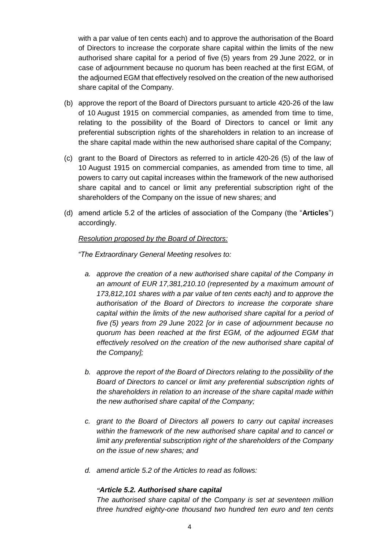with a par value of ten cents each) and to approve the authorisation of the Board of Directors to increase the corporate share capital within the limits of the new authorised share capital for a period of five (5) years from 29 June 2022, or in case of adjournment because no quorum has been reached at the first EGM, of the adjourned EGM that effectively resolved on the creation of the new authorised share capital of the Company.

- (b) approve the report of the Board of Directors pursuant to article 420-26 of the law of 10 August 1915 on commercial companies, as amended from time to time, relating to the possibility of the Board of Directors to cancel or limit any preferential subscription rights of the shareholders in relation to an increase of the share capital made within the new authorised share capital of the Company;
- (c) grant to the Board of Directors as referred to in article 420-26 (5) of the law of 10 August 1915 on commercial companies, as amended from time to time, all powers to carry out capital increases within the framework of the new authorised share capital and to cancel or limit any preferential subscription right of the shareholders of the Company on the issue of new shares; and
- (d) amend article 5.2 of the articles of association of the Company (the "**Articles**") accordingly.

#### *Resolution proposed by the Board of Directors:*

*"The Extraordinary General Meeting resolves to:*

- *a. approve the creation of a new authorised share capital of the Company in an amount of EUR 17,381,210.10 (represented by a maximum amount of 173,812,101 shares with a par value of ten cents each) and to approve the authorisation of the Board of Directors to increase the corporate share capital within the limits of the new authorised share capital for a period of five (5) years from 29 June* 2022 *[or in case of adjournment because no quorum has been reached at the first EGM, of the adjourned EGM that effectively resolved on the creation of the new authorised share capital of the Company];*
- *b. approve the report of the Board of Directors relating to the possibility of the Board of Directors to cancel or limit any preferential subscription rights of the shareholders in relation to an increase of the share capital made within the new authorised share capital of the Company;*
- *c. grant to the Board of Directors all powers to carry out capital increases within the framework of the new authorised share capital and to cancel or limit any preferential subscription right of the shareholders of the Company on the issue of new shares; and*
- *d. amend article 5.2 of the Articles to read as follows:*

#### *"Article 5.2. Authorised share capital*

*The authorised share capital of the Company is set at seventeen million three hundred eighty-one thousand two hundred ten euro and ten cents*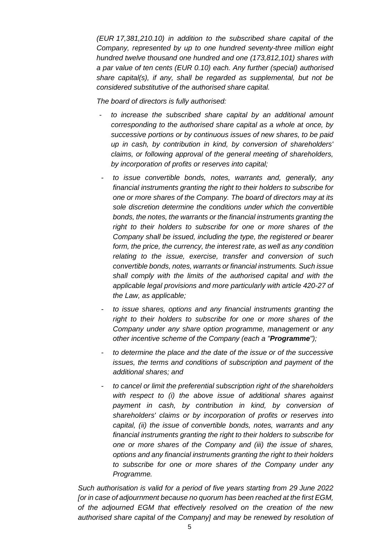*(EUR 17,381,210.10) in addition to the subscribed share capital of the Company, represented by up to one hundred seventy-three million eight hundred twelve thousand one hundred and one (173,812,101) shares with a par value of ten cents (EUR 0.10) each. Any further (special) authorised share capital(s), if any, shall be regarded as supplemental, but not be considered substitutive of the authorised share capital.* 

*The board of directors is fully authorised:*

- *to increase the subscribed share capital by an additional amount corresponding to the authorised share capital as a whole at once, by successive portions or by continuous issues of new shares, to be paid up in cash, by contribution in kind, by conversion of shareholders' claims, or following approval of the general meeting of shareholders, by incorporation of profits or reserves into capital;*
- *to issue convertible bonds, notes, warrants and, generally, any financial instruments granting the right to their holders to subscribe for one or more shares of the Company. The board of directors may at its sole discretion determine the conditions under which the convertible bonds, the notes, the warrants or the financial instruments granting the right to their holders to subscribe for one or more shares of the Company shall be issued, including the type, the registered or bearer form, the price, the currency, the interest rate, as well as any condition relating to the issue, exercise, transfer and conversion of such convertible bonds, notes, warrants or financial instruments. Such issue shall comply with the limits of the authorised capital and with the applicable legal provisions and more particularly with article 420-27 of the Law, as applicable;*
- *to issue shares, options and any financial instruments granting the right to their holders to subscribe for one or more shares of the Company under any share option programme, management or any other incentive scheme of the Company (each a "Programme");*
- *to determine the place and the date of the issue or of the successive issues, the terms and conditions of subscription and payment of the additional shares; and*
- *to cancel or limit the preferential subscription right of the shareholders with respect to (i) the above issue of additional shares against payment in cash, by contribution in kind, by conversion of shareholders' claims or by incorporation of profits or reserves into capital, (ii) the issue of convertible bonds, notes, warrants and any financial instruments granting the right to their holders to subscribe for one or more shares of the Company and (iii) the issue of shares, options and any financial instruments granting the right to their holders to subscribe for one or more shares of the Company under any Programme.*

*Such authorisation is valid for a period of five years starting from 29 June 2022 [or in case of adjournment because no quorum has been reached at the first EGM, of the adjourned EGM that effectively resolved on the creation of the new authorised share capital of the Company] and may be renewed by resolution of*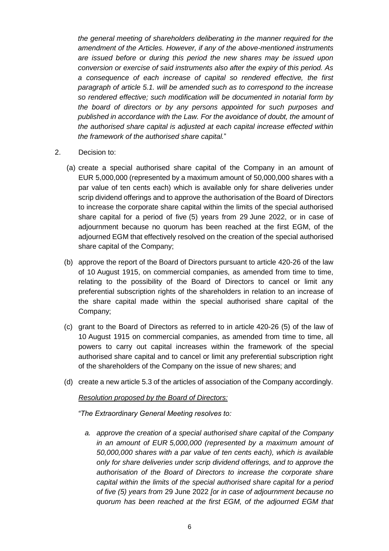*the general meeting of shareholders deliberating in the manner required for the amendment of the Articles. However, if any of the above-mentioned instruments are issued before or during this period the new shares may be issued upon conversion or exercise of said instruments also after the expiry of this period. As a consequence of each increase of capital so rendered effective, the first paragraph of article 5.1. will be amended such as to correspond to the increase so rendered effective; such modification will be documented in notarial form by the board of directors or by any persons appointed for such purposes and published in accordance with the Law. For the avoidance of doubt, the amount of the authorised share capital is adjusted at each capital increase effected within the framework of the authorised share capital.*"

- 2. Decision to:
	- (a) create a special authorised share capital of the Company in an amount of EUR 5,000,000 (represented by a maximum amount of 50,000,000 shares with a par value of ten cents each) which is available only for share deliveries under scrip dividend offerings and to approve the authorisation of the Board of Directors to increase the corporate share capital within the limits of the special authorised share capital for a period of five (5) years from 29 June 2022, or in case of adjournment because no quorum has been reached at the first EGM, of the adjourned EGM that effectively resolved on the creation of the special authorised share capital of the Company;
	- (b) approve the report of the Board of Directors pursuant to article 420-26 of the law of 10 August 1915, on commercial companies, as amended from time to time, relating to the possibility of the Board of Directors to cancel or limit any preferential subscription rights of the shareholders in relation to an increase of the share capital made within the special authorised share capital of the Company;
	- (c) grant to the Board of Directors as referred to in article 420-26 (5) of the law of 10 August 1915 on commercial companies, as amended from time to time, all powers to carry out capital increases within the framework of the special authorised share capital and to cancel or limit any preferential subscription right of the shareholders of the Company on the issue of new shares; and
	- (d) create a new article 5.3 of the articles of association of the Company accordingly.

#### *Resolution proposed by the Board of Directors:*

*"The Extraordinary General Meeting resolves to:*

*a. approve the creation of a special authorised share capital of the Company in an amount of EUR 5,000,000 (represented by a maximum amount of 50,000,000 shares with a par value of ten cents each), which is available only for share deliveries under scrip dividend offerings, and to approve the authorisation of the Board of Directors to increase the corporate share capital within the limits of the special authorised share capital for a period of five (5) years from* 29 June 2022 *[or in case of adjournment because no quorum has been reached at the first EGM, of the adjourned EGM that*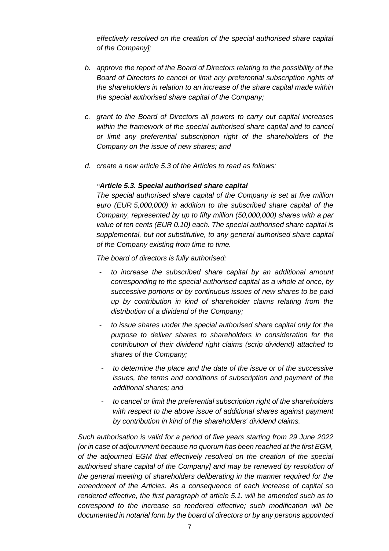*effectively resolved on the creation of the special authorised share capital of the Company];*

- *b. approve the report of the Board of Directors relating to the possibility of the Board of Directors to cancel or limit any preferential subscription rights of the shareholders in relation to an increase of the share capital made within the special authorised share capital of the Company;*
- *c. grant to the Board of Directors all powers to carry out capital increases within the framework of the special authorised share capital and to cancel or limit any preferential subscription right of the shareholders of the Company on the issue of new shares; and*
- *d. create a new article 5.3 of the Articles to read as follows:*

#### *"Article 5.3. Special authorised share capital*

*The special authorised share capital of the Company is set at five million euro (EUR 5,000,000) in addition to the subscribed share capital of the Company, represented by up to fifty million (50,000,000) shares with a par value of ten cents (EUR 0.10) each. The special authorised share capital is supplemental, but not substitutive, to any general authorised share capital of the Company existing from time to time.* 

*The board of directors is fully authorised:*

- *to increase the subscribed share capital by an additional amount corresponding to the special authorised capital as a whole at once, by successive portions or by continuous issues of new shares to be paid up by contribution in kind of shareholder claims relating from the distribution of a dividend of the Company;*
- *to issue shares under the special authorised share capital only for the purpose to deliver shares to shareholders in consideration for the contribution of their dividend right claims (scrip dividend) attached to shares of the Company;*
- *to determine the place and the date of the issue or of the successive issues, the terms and conditions of subscription and payment of the additional shares; and*
- *to cancel or limit the preferential subscription right of the shareholders with respect to the above issue of additional shares against payment by contribution in kind of the shareholders' dividend claims.*

*Such authorisation is valid for a period of five years starting from 29 June 2022 [or in case of adjournment because no quorum has been reached at the first EGM, of the adjourned EGM that effectively resolved on the creation of the special authorised share capital of the Company] and may be renewed by resolution of the general meeting of shareholders deliberating in the manner required for the amendment of the Articles. As a consequence of each increase of capital so rendered effective, the first paragraph of article 5.1. will be amended such as to correspond to the increase so rendered effective; such modification will be documented in notarial form by the board of directors or by any persons appointed*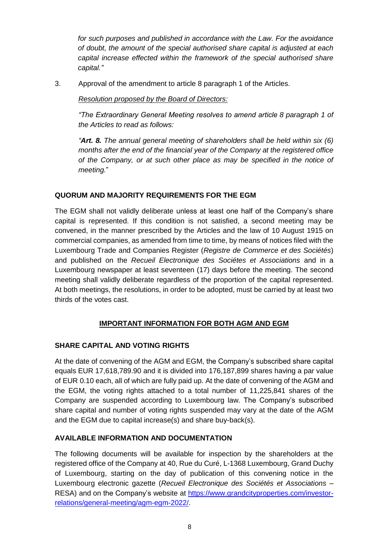*for such purposes and published in accordance with the Law. For the avoidance of doubt, the amount of the special authorised share capital is adjusted at each capital increase effected within the framework of the special authorised share capital."*

3. Approval of the amendment to article 8 paragraph 1 of the Articles.

*Resolution proposed by the Board of Directors:*

*"The Extraordinary General Meeting resolves to amend article 8 paragraph 1 of the Articles to read as follows:*

*"Art. 8. The annual general meeting of shareholders shall be held within six (6) months after the end of the financial year of the Company at the registered office of the Company, or at such other place as may be specified in the notice of meeting.*"

### **QUORUM AND MAJORITY REQUIREMENTS FOR THE EGM**

The EGM shall not validly deliberate unless at least one half of the Company's share capital is represented. If this condition is not satisfied, a second meeting may be convened, in the manner prescribed by the Articles and the law of 10 August 1915 on commercial companies, as amended from time to time, by means of notices filed with the Luxembourg Trade and Companies Register (*Registre de Commerce et des Sociétés*) and published on the *Recueil Electronique des Sociétes et Associations* and in a Luxembourg newspaper at least seventeen (17) days before the meeting. The second meeting shall validly deliberate regardless of the proportion of the capital represented. At both meetings, the resolutions, in order to be adopted, must be carried by at least two thirds of the votes cast.

### **IMPORTANT INFORMATION FOR BOTH AGM AND EGM**

### **SHARE CAPITAL AND VOTING RIGHTS**

At the date of convening of the AGM and EGM, the Company's subscribed share capital equals EUR 17,618,789.90 and it is divided into 176,187,899 shares having a par value of EUR 0.10 each, all of which are fully paid up. At the date of convening of the AGM and the EGM, the voting rights attached to a total number of 11,225,841 shares of the Company are suspended according to Luxembourg law. The Company's subscribed share capital and number of voting rights suspended may vary at the date of the AGM and the EGM due to capital increase(s) and share buy-back(s).

### **AVAILABLE INFORMATION AND DOCUMENTATION**

The following documents will be available for inspection by the shareholders at the registered office of the Company at 40, Rue du Curé, L-1368 Luxembourg, Grand Duchy of Luxembourg, starting on the day of publication of this convening notice in the Luxembourg electronic gazette (*Recueil Electronique des Sociétés et Associations* – RESA) and on the Company's website at [https://www.grandcityproperties.com/investor](https://www.grandcityproperties.com/investor-relations/general-meeting/agm-egm-2022/)[relations/general-meeting/agm-egm-2022/.](https://www.grandcityproperties.com/investor-relations/general-meeting/agm-egm-2022/)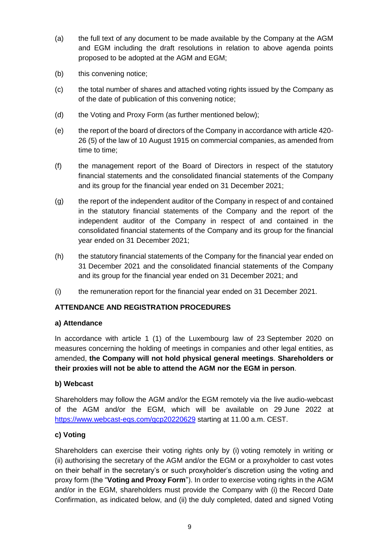- (a) the full text of any document to be made available by the Company at the AGM and EGM including the draft resolutions in relation to above agenda points proposed to be adopted at the AGM and EGM;
- (b) this convening notice;
- (c) the total number of shares and attached voting rights issued by the Company as of the date of publication of this convening notice;
- (d) the Voting and Proxy Form (as further mentioned below);
- (e) the report of the board of directors of the Company in accordance with article 420- 26 (5) of the law of 10 August 1915 on commercial companies, as amended from time to time;
- (f) the management report of the Board of Directors in respect of the statutory financial statements and the consolidated financial statements of the Company and its group for the financial year ended on 31 December 2021;
- (g) the report of the independent auditor of the Company in respect of and contained in the statutory financial statements of the Company and the report of the independent auditor of the Company in respect of and contained in the consolidated financial statements of the Company and its group for the financial year ended on 31 December 2021;
- (h) the statutory financial statements of the Company for the financial year ended on 31 December 2021 and the consolidated financial statements of the Company and its group for the financial year ended on 31 December 2021; and
- (i) the remuneration report for the financial year ended on 31 December 2021.

# **ATTENDANCE AND REGISTRATION PROCEDURES**

### **a) Attendance**

In accordance with article 1 (1) of the Luxembourg law of 23 September 2020 on measures concerning the holding of meetings in companies and other legal entities, as amended, **the Company will not hold physical general meetings**. **Shareholders or their proxies will not be able to attend the AGM nor the EGM in person**.

### **b) Webcast**

Shareholders may follow the AGM and/or the EGM remotely via the live audio-webcast of the AGM and/or the EGM, which will be available on 29 June 2022 at <https://www.webcast-eqs.com/gcp20220629> starting at 11.00 a.m. CEST.

### **c) Voting**

Shareholders can exercise their voting rights only by (i) voting remotely in writing or (ii) authorising the secretary of the AGM and/or the EGM or a proxyholder to cast votes on their behalf in the secretary's or such proxyholder's discretion using the voting and proxy form (the "**Voting and Proxy Form**"). In order to exercise voting rights in the AGM and/or in the EGM, shareholders must provide the Company with (i) the Record Date Confirmation, as indicated below, and (ii) the duly completed, dated and signed Voting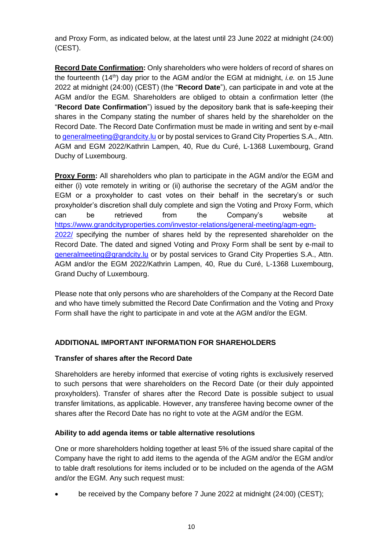and Proxy Form, as indicated below, at the latest until 23 June 2022 at midnight (24:00) (CEST).

**Record Date Confirmation:** Only shareholders who were holders of record of shares on the fourteenth (14th) day prior to the AGM and/or the EGM at midnight, *i.e.* on 15 June 2022 at midnight (24:00) (CEST) (the "**Record Date**"), can participate in and vote at the AGM and/or the EGM. Shareholders are obliged to obtain a confirmation letter (the "**Record Date Confirmation**") issued by the depository bank that is safe-keeping their shares in the Company stating the number of shares held by the shareholder on the Record Date. The Record Date Confirmation must be made in writing and sent by e-mail to [generalmeeting@grandcity.lu](mailto:generalmeeting@grandcity.lu) or by postal services to Grand City Properties S.A., Attn. AGM and EGM 2022/Kathrin Lampen, 40, Rue du Curé, L-1368 Luxembourg, Grand Duchy of Luxembourg.

**Proxy Form:** All shareholders who plan to participate in the AGM and/or the EGM and either (i) vote remotely in writing or (ii) authorise the secretary of the AGM and/or the EGM or a proxyholder to cast votes on their behalf in the secretary's or such proxyholder's discretion shall duly complete and sign the Voting and Proxy Form, which can be retrieved from the Company's website at [https://www.grandcityproperties.com/investor-relations/general-meeting/agm-egm-](https://www.grandcityproperties.com/investor-relations/general-meeting/agm-egm-2022/)[2022/](https://www.grandcityproperties.com/investor-relations/general-meeting/agm-egm-2022/) specifying the number of shares held by the represented shareholder on the Record Date. The dated and signed Voting and Proxy Form shall be sent by e-mail to [generalmeeting@grandcity.lu](mailto:generalmeeting@grandcity.lu) or by postal services to Grand City Properties S.A., Attn. AGM and/or the EGM 2022/Kathrin Lampen, 40, Rue du Curé, L-1368 Luxembourg, Grand Duchy of Luxembourg.

Please note that only persons who are shareholders of the Company at the Record Date and who have timely submitted the Record Date Confirmation and the Voting and Proxy Form shall have the right to participate in and vote at the AGM and/or the EGM.

# **ADDITIONAL IMPORTANT INFORMATION FOR SHAREHOLDERS**

### **Transfer of shares after the Record Date**

Shareholders are hereby informed that exercise of voting rights is exclusively reserved to such persons that were shareholders on the Record Date (or their duly appointed proxyholders). Transfer of shares after the Record Date is possible subject to usual transfer limitations, as applicable. However, any transferee having become owner of the shares after the Record Date has no right to vote at the AGM and/or the EGM.

### **Ability to add agenda items or table alternative resolutions**

One or more shareholders holding together at least 5% of the issued share capital of the Company have the right to add items to the agenda of the AGM and/or the EGM and/or to table draft resolutions for items included or to be included on the agenda of the AGM and/or the EGM. Any such request must:

• be received by the Company before 7 June 2022 at midnight (24:00) (CEST);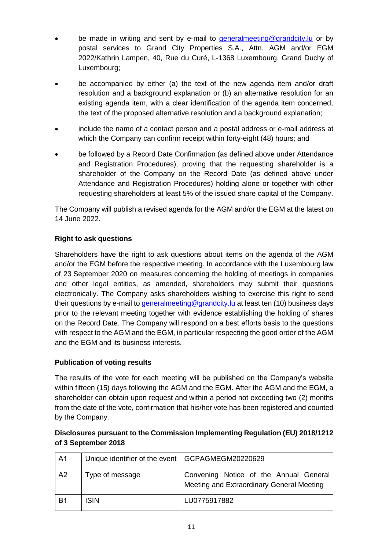- be made in writing and sent by e-mail to [generalmeeting@grandcity.lu](mailto:generalmeeting@grandcity.lu) or by postal services to Grand City Properties S.A., Attn. AGM and/or EGM 2022/Kathrin Lampen, 40, Rue du Curé, L-1368 Luxembourg, Grand Duchy of Luxembourg;
- be accompanied by either (a) the text of the new agenda item and/or draft resolution and a background explanation or (b) an alternative resolution for an existing agenda item, with a clear identification of the agenda item concerned, the text of the proposed alternative resolution and a background explanation;
- include the name of a contact person and a postal address or e-mail address at which the Company can confirm receipt within forty-eight (48) hours; and
- be followed by a Record Date Confirmation (as defined above under Attendance and Registration Procedures), proving that the requesting shareholder is a shareholder of the Company on the Record Date (as defined above under Attendance and Registration Procedures) holding alone or together with other requesting shareholders at least 5% of the issued share capital of the Company.

The Company will publish a revised agenda for the AGM and/or the EGM at the latest on 14 June 2022.

# **Right to ask questions**

Shareholders have the right to ask questions about items on the agenda of the AGM and/or the EGM before the respective meeting. In accordance with the Luxembourg law of 23 September 2020 on measures concerning the holding of meetings in companies and other legal entities, as amended, shareholders may submit their questions electronically. The Company asks shareholders wishing to exercise this right to send their questions by e-mail to [generalmeeting@grandcity.lu](mailto:generalmeeting@grandcity.lu) at least ten (10) business days prior to the relevant meeting together with evidence establishing the holding of shares on the Record Date. The Company will respond on a best efforts basis to the questions with respect to the AGM and the EGM, in particular respecting the good order of the AGM and the EGM and its business interests.

### **Publication of voting results**

The results of the vote for each meeting will be published on the Company's website within fifteen (15) days following the AGM and the EGM. After the AGM and the EGM, a shareholder can obtain upon request and within a period not exceeding two (2) months from the date of the vote, confirmation that his/her vote has been registered and counted by the Company.

## **Disclosures pursuant to the Commission Implementing Regulation (EU) 2018/1212 of 3 September 2018**

| A <sub>1</sub> | Unique identifier of the event   GCPAGMEGM20220629 |                                                                                     |
|----------------|----------------------------------------------------|-------------------------------------------------------------------------------------|
| A <sub>2</sub> | Type of message                                    | Convening Notice of the Annual General<br>Meeting and Extraordinary General Meeting |
| B <sub>1</sub> | <b>ISIN</b>                                        | LU0775917882                                                                        |